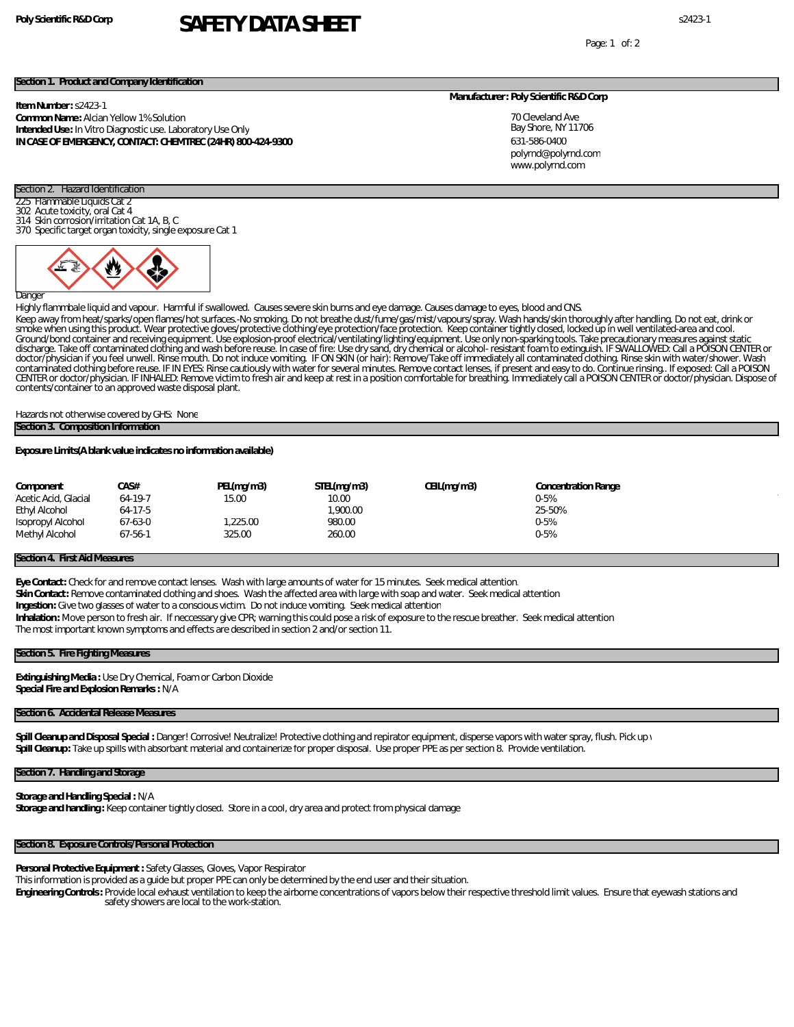# **Poly Scientific R&D Corp** s2423-1 **SAFETY DATA SHEET**

Page: 1 of: 2

## **Section 1. Product and Company Identification**

**Item Number:** s2423-1

**Common Name:** Alcian Yellow 1% Solution **Intended Use:** In Vitro Diagnostic use. Laboratory Use Only **IN CASE OF EMERGENCY, CONTACT: CHEMTREC (24HR) 800-424-9300** **Manufacturer: Poly Scientific R&D Corp**

70 Cleveland Ave Bay Shore, NY 11706 631-586-0400 www.polyrnd.com polyrnd@polyrnd.com

## Section 2. Hazard Identification Flammable Liquids Cat 2

- 302 Acute toxicity, oral Cat 4
- 314 Skin corrosion/irritation Cat 1A, B, C

370 Specific target organ toxicity, single exposure Cat 1



Danger

Highly flammbale liquid and vapour. Harmful if swallowed. Causes severe skin burns and eye damage. Causes damage to eyes, blood and CNS.

Keep away from heat/sparks/open flames/hot surfaces.-No smoking. Do not breathe dust/fume/gas/mist/vapours/spray. Wash hands/skin thoroughly after handling. Do not eat, drink or<br>smoke when using this product. Wear protecti discharge. Take off contaminated clothing and wash before reuse. In case of fire: Use dry sand, dry chemical or alcohol- resistant foam to extinguish. IF SWALLOWED: Call a POISON CENTER or doctor/physician if you feel unwell. Rinse mouth. Do not induce vomiting. IF ON SKIN (or hair): Remove/Take off immediately all contaminated clothing. Rinse skin with water/shower. Wash contaminated clothing before reuse. IF IN EYES: Rinse cautiously with water for several minutes. Remove contact lenses, if present and easy to do. Continue rinsing.. If exposed: Call a POISON<br>CENTER or doctor/physician. IF contents/container to an approved waste disposal plant.

Hazards not otherwise covered by GHS: None **Section 3. Composition Information**

**Exposure Limits(A blank value indicates no information available)**

| Component            | CA S#         | PEL(mq/m3) | STEL(mg/m3) | CEIL(mg/m3) | <b>Concentration Range</b> |  |
|----------------------|---------------|------------|-------------|-------------|----------------------------|--|
| Acetic Acid, Glacial | $64-19-7$     | 15.00      | 10.00       |             | 0-5%                       |  |
| Ethyl Alcohol        | 64-17-5       |            | .900.00     |             | 25-50%                     |  |
| Isopropyl Alcohol    | 67-63-0       | 1,225.00   | 980.00      |             | $0 - 5%$                   |  |
| Methyl Alcohol       | $67 - 56 - 1$ | 325.00     | 260.00      |             | 0-5%                       |  |
|                      |               |            |             |             |                            |  |

## **Section 4. First Aid Measures**

**Eye Contact:** Check for and remove contact lenses. Wash with large amounts of water for 15 minutes. Seek medical attention.

**Skin Contact:** Remove contaminated clothing and shoes. Wash the affected area with large with soap and water. Seek medical attention

**Ingestion:** Give two glasses of water to a conscious victim. Do not induce vomiting. Seek medical attention

**Inhalation:** Move person to fresh air. If neccessary give CPR; warning this could pose a risk of exposure to the rescue breather. Seek medical attention

The most important known symptoms and effects are described in section 2 and/or section 11.

## **Section 5. Fire Fighting Measures**

**Extinguishing Media :** Use Dry Chemical, Foam or Carbon Dioxide **Special Fire and Explosion Remarks :** N/A

## **Section 6. Accidental Release Measures**

Spill Cleanup and Disposal Special : Danger! Corrosive! Neutralize! Protective clothing and repirator equipment, disperse vapors with water spray, flush. Pick up y **Spill Cleanup:** Take up spills with absorbant material and containerize for proper disposal. Use proper PPE as per section 8. Provide ventilation.

#### **Section 7. Handling and Storage**

# **Storage and Handling Special :** N/A

Storage and handling: Keep container tightly closed. Store in a cool, dry area and protect from physical damage

## **Section 8. Exposure Controls/Personal Protection**

**Personal Protective Equipment :** Safety Glasses, Gloves, Vapor Respirator

This information is provided as a guide but proper PPE can only be determined by the end user and their situation.

**Engineering Controls:** Provide local exhaust ventilation to keep the airborne concentrations of vapors below their respective threshold limit values. Ensure that eyewash stations and safety showers are local to the work-station.